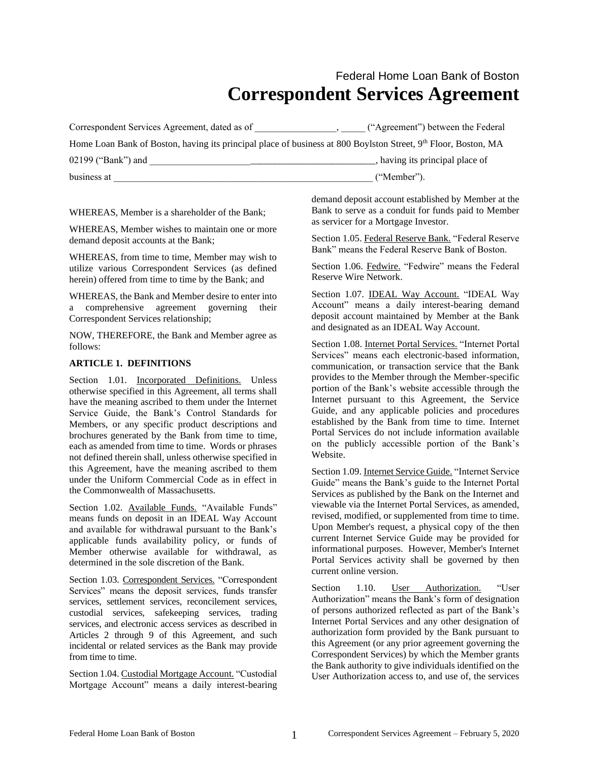# Federal Home Loan Bank of Boston **Correspondent Services Agreement**

| Correspondent Services Agreement, dated as of                                                                  | ("Agreement") between the Federal |  |  |
|----------------------------------------------------------------------------------------------------------------|-----------------------------------|--|--|
| Home Loan Bank of Boston, having its principal place of business at 800 Boylston Street, 9th Floor, Boston, MA |                                   |  |  |
| 02199 ("Bank") and                                                                                             | having its principal place of     |  |  |
| business at                                                                                                    | ("Member").                       |  |  |

WHEREAS, Member is a shareholder of the Bank;

WHEREAS, Member wishes to maintain one or more demand deposit accounts at the Bank;

WHEREAS, from time to time, Member may wish to utilize various Correspondent Services (as defined herein) offered from time to time by the Bank; and

WHEREAS, the Bank and Member desire to enter into a comprehensive agreement governing their Correspondent Services relationship;

NOW, THEREFORE, the Bank and Member agree as follows:

#### **ARTICLE 1. DEFINITIONS**

Section 1.01. Incorporated Definitions. Unless otherwise specified in this Agreement, all terms shall have the meaning ascribed to them under the Internet Service Guide, the Bank's Control Standards for Members, or any specific product descriptions and brochures generated by the Bank from time to time, each as amended from time to time. Words or phrases not defined therein shall, unless otherwise specified in this Agreement, have the meaning ascribed to them under the Uniform Commercial Code as in effect in the Commonwealth of Massachusetts.

Section 1.02. Available Funds. "Available Funds" means funds on deposit in an IDEAL Way Account and available for withdrawal pursuant to the Bank's applicable funds availability policy, or funds of Member otherwise available for withdrawal, as determined in the sole discretion of the Bank.

Section 1.03. Correspondent Services. "Correspondent Services" means the deposit services, funds transfer services, settlement services, reconcilement services, custodial services, safekeeping services, trading services, and electronic access services as described in Articles 2 through 9 of this Agreement, and such incidental or related services as the Bank may provide from time to time.

Section 1.04. Custodial Mortgage Account. "Custodial Mortgage Account" means a daily interest-bearing demand deposit account established by Member at the Bank to serve as a conduit for funds paid to Member as servicer for a Mortgage Investor.

Section 1.05. Federal Reserve Bank. "Federal Reserve Bank" means the Federal Reserve Bank of Boston.

Section 1.06. Fedwire. "Fedwire" means the Federal Reserve Wire Network.

Section 1.07. **IDEAL Way Account.** "IDEAL Way Account" means a daily interest-bearing demand deposit account maintained by Member at the Bank and designated as an IDEAL Way Account.

Section 1.08. Internet Portal Services. "Internet Portal Services" means each electronic-based information, communication, or transaction service that the Bank provides to the Member through the Member-specific portion of the Bank's website accessible through the Internet pursuant to this Agreement, the Service Guide, and any applicable policies and procedures established by the Bank from time to time. Internet Portal Services do not include information available on the publicly accessible portion of the Bank's Website.

Section 1.09. Internet Service Guide. "Internet Service Guide" means the Bank's guide to the Internet Portal Services as published by the Bank on the Internet and viewable via the Internet Portal Services, as amended, revised, modified, or supplemented from time to time. Upon Member's request, a physical copy of the then current Internet Service Guide may be provided for informational purposes. However, Member's Internet Portal Services activity shall be governed by then current online version.

Section 1.10. User Authorization. "User Authorization" means the Bank's form of designation of persons authorized reflected as part of the Bank's Internet Portal Services and any other designation of authorization form provided by the Bank pursuant to this Agreement (or any prior agreement governing the Correspondent Services) by which the Member grants the Bank authority to give individuals identified on the User Authorization access to, and use of, the services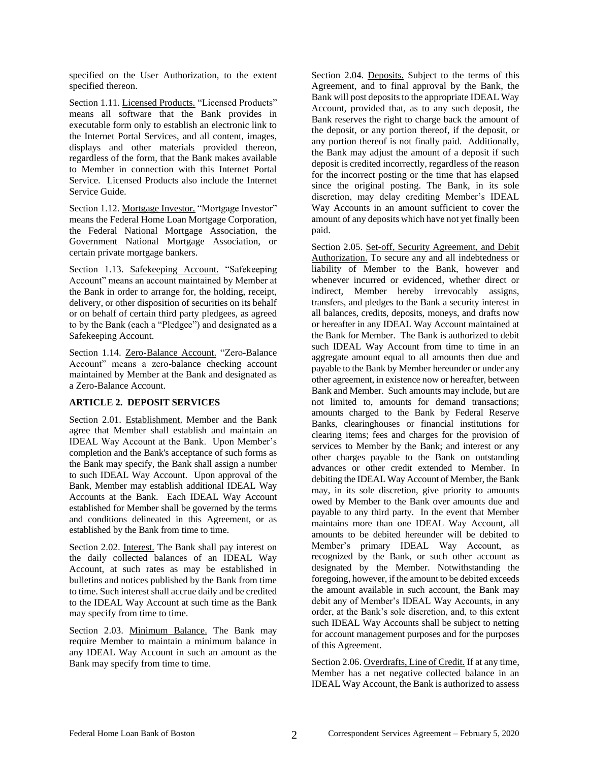specified on the User Authorization, to the extent specified thereon.

Section 1.11. Licensed Products. "Licensed Products" means all software that the Bank provides in executable form only to establish an electronic link to the Internet Portal Services, and all content, images, displays and other materials provided thereon, regardless of the form, that the Bank makes available to Member in connection with this Internet Portal Service. Licensed Products also include the Internet Service Guide.

Section 1.12. Mortgage Investor. "Mortgage Investor" means the Federal Home Loan Mortgage Corporation, the Federal National Mortgage Association, the Government National Mortgage Association, or certain private mortgage bankers.

Section 1.13. Safekeeping Account. "Safekeeping Account" means an account maintained by Member at the Bank in order to arrange for, the holding, receipt, delivery, or other disposition of securities on its behalf or on behalf of certain third party pledgees, as agreed to by the Bank (each a "Pledgee") and designated as a Safekeeping Account.

Section 1.14. Zero-Balance Account. "Zero-Balance Account" means a zero-balance checking account maintained by Member at the Bank and designated as a Zero-Balance Account.

#### **ARTICLE 2. DEPOSIT SERVICES**

Section 2.01. Establishment. Member and the Bank agree that Member shall establish and maintain an IDEAL Way Account at the Bank. Upon Member's completion and the Bank's acceptance of such forms as the Bank may specify, the Bank shall assign a number to such IDEAL Way Account. Upon approval of the Bank, Member may establish additional IDEAL Way Accounts at the Bank. Each IDEAL Way Account established for Member shall be governed by the terms and conditions delineated in this Agreement, or as established by the Bank from time to time.

Section 2.02. Interest. The Bank shall pay interest on the daily collected balances of an IDEAL Way Account, at such rates as may be established in bulletins and notices published by the Bank from time to time. Such interest shall accrue daily and be credited to the IDEAL Way Account at such time as the Bank may specify from time to time.

Section 2.03. Minimum Balance. The Bank may require Member to maintain a minimum balance in any IDEAL Way Account in such an amount as the Bank may specify from time to time.

Section 2.04. Deposits. Subject to the terms of this Agreement, and to final approval by the Bank, the Bank will post deposits to the appropriate IDEAL Way Account, provided that, as to any such deposit, the Bank reserves the right to charge back the amount of the deposit, or any portion thereof, if the deposit, or any portion thereof is not finally paid. Additionally, the Bank may adjust the amount of a deposit if such deposit is credited incorrectly, regardless of the reason for the incorrect posting or the time that has elapsed since the original posting. The Bank, in its sole discretion, may delay crediting Member's IDEAL Way Accounts in an amount sufficient to cover the amount of any deposits which have not yet finally been paid.

Section 2.05. Set-off, Security Agreement, and Debit Authorization. To secure any and all indebtedness or liability of Member to the Bank, however and whenever incurred or evidenced, whether direct or indirect, Member hereby irrevocably assigns, transfers, and pledges to the Bank a security interest in all balances, credits, deposits, moneys, and drafts now or hereafter in any IDEAL Way Account maintained at the Bank for Member. The Bank is authorized to debit such IDEAL Way Account from time to time in an aggregate amount equal to all amounts then due and payable to the Bank by Member hereunder or under any other agreement, in existence now or hereafter, between Bank and Member. Such amounts may include, but are not limited to, amounts for demand transactions; amounts charged to the Bank by Federal Reserve Banks, clearinghouses or financial institutions for clearing items; fees and charges for the provision of services to Member by the Bank; and interest or any other charges payable to the Bank on outstanding advances or other credit extended to Member. In debiting the IDEAL Way Account of Member, the Bank may, in its sole discretion, give priority to amounts owed by Member to the Bank over amounts due and payable to any third party. In the event that Member maintains more than one IDEAL Way Account, all amounts to be debited hereunder will be debited to Member's primary IDEAL Way Account, as recognized by the Bank, or such other account as designated by the Member. Notwithstanding the foregoing, however, if the amount to be debited exceeds the amount available in such account, the Bank may debit any of Member's IDEAL Way Accounts, in any order, at the Bank's sole discretion, and, to this extent such IDEAL Way Accounts shall be subject to netting for account management purposes and for the purposes of this Agreement.

Section 2.06. Overdrafts, Line of Credit. If at any time, Member has a net negative collected balance in an IDEAL Way Account, the Bank is authorized to assess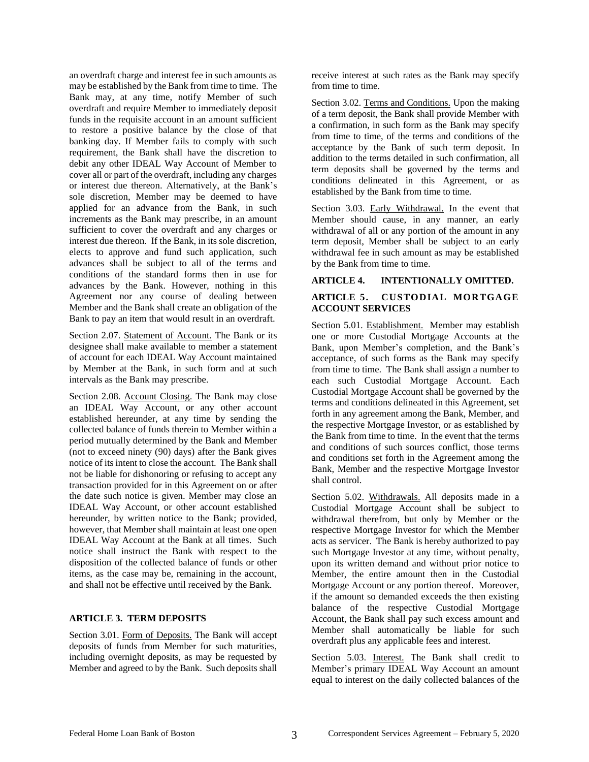an overdraft charge and interest fee in such amounts as may be established by the Bank from time to time. The Bank may, at any time, notify Member of such overdraft and require Member to immediately deposit funds in the requisite account in an amount sufficient to restore a positive balance by the close of that banking day. If Member fails to comply with such requirement, the Bank shall have the discretion to debit any other IDEAL Way Account of Member to cover all or part of the overdraft, including any charges or interest due thereon. Alternatively, at the Bank's sole discretion, Member may be deemed to have applied for an advance from the Bank, in such increments as the Bank may prescribe, in an amount sufficient to cover the overdraft and any charges or interest due thereon. If the Bank, in its sole discretion, elects to approve and fund such application, such advances shall be subject to all of the terms and conditions of the standard forms then in use for advances by the Bank. However, nothing in this Agreement nor any course of dealing between Member and the Bank shall create an obligation of the Bank to pay an item that would result in an overdraft.

Section 2.07. Statement of Account. The Bank or its designee shall make available to member a statement of account for each IDEAL Way Account maintained by Member at the Bank, in such form and at such intervals as the Bank may prescribe.

Section 2.08. Account Closing. The Bank may close an IDEAL Way Account, or any other account established hereunder, at any time by sending the collected balance of funds therein to Member within a period mutually determined by the Bank and Member (not to exceed ninety (90) days) after the Bank gives notice of its intent to close the account. The Bank shall not be liable for dishonoring or refusing to accept any transaction provided for in this Agreement on or after the date such notice is given. Member may close an IDEAL Way Account, or other account established hereunder, by written notice to the Bank; provided, however, that Member shall maintain at least one open IDEAL Way Account at the Bank at all times. Such notice shall instruct the Bank with respect to the disposition of the collected balance of funds or other items, as the case may be, remaining in the account, and shall not be effective until received by the Bank.

#### **ARTICLE 3. TERM DEPOSITS**

Section 3.01. Form of Deposits. The Bank will accept deposits of funds from Member for such maturities, including overnight deposits, as may be requested by Member and agreed to by the Bank. Such deposits shall

receive interest at such rates as the Bank may specify from time to time.

Section 3.02. Terms and Conditions. Upon the making of a term deposit, the Bank shall provide Member with a confirmation, in such form as the Bank may specify from time to time, of the terms and conditions of the acceptance by the Bank of such term deposit. In addition to the terms detailed in such confirmation, all term deposits shall be governed by the terms and conditions delineated in this Agreement, or as established by the Bank from time to time.

Section 3.03. Early Withdrawal. In the event that Member should cause, in any manner, an early withdrawal of all or any portion of the amount in any term deposit, Member shall be subject to an early withdrawal fee in such amount as may be established by the Bank from time to time.

#### **ARTICLE 4. INTENTIONALLY OMITTED.**

#### **ARTICLE 5. CUSTODIAL MORTGAGE ACCOUNT SERVICES**

Section 5.01. Establishment. Member may establish one or more Custodial Mortgage Accounts at the Bank, upon Member's completion, and the Bank's acceptance, of such forms as the Bank may specify from time to time. The Bank shall assign a number to each such Custodial Mortgage Account. Each Custodial Mortgage Account shall be governed by the terms and conditions delineated in this Agreement, set forth in any agreement among the Bank, Member, and the respective Mortgage Investor, or as established by the Bank from time to time. In the event that the terms and conditions of such sources conflict, those terms and conditions set forth in the Agreement among the Bank, Member and the respective Mortgage Investor shall control.

Section 5.02. Withdrawals. All deposits made in a Custodial Mortgage Account shall be subject to withdrawal therefrom, but only by Member or the respective Mortgage Investor for which the Member acts as servicer. The Bank is hereby authorized to pay such Mortgage Investor at any time, without penalty, upon its written demand and without prior notice to Member, the entire amount then in the Custodial Mortgage Account or any portion thereof. Moreover, if the amount so demanded exceeds the then existing balance of the respective Custodial Mortgage Account, the Bank shall pay such excess amount and Member shall automatically be liable for such overdraft plus any applicable fees and interest.

Section 5.03. Interest. The Bank shall credit to Member's primary IDEAL Way Account an amount equal to interest on the daily collected balances of the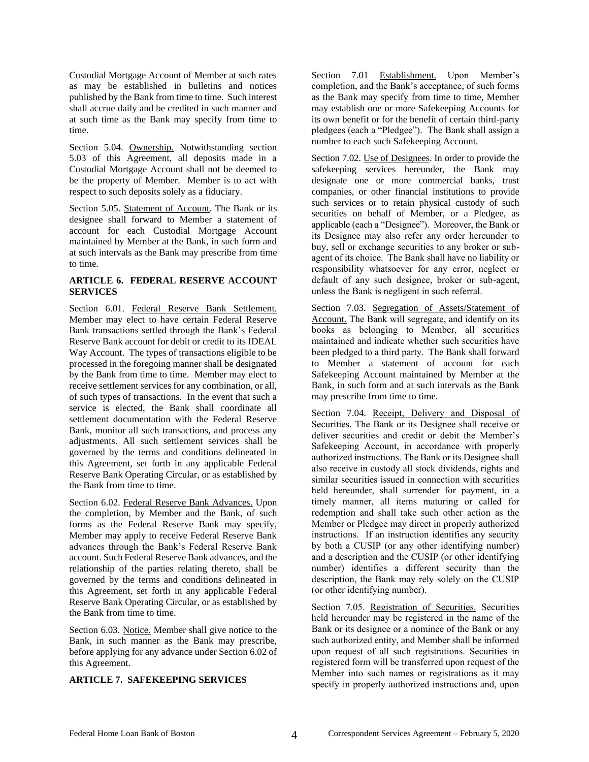Custodial Mortgage Account of Member at such rates as may be established in bulletins and notices published by the Bank from time to time. Such interest shall accrue daily and be credited in such manner and at such time as the Bank may specify from time to time.

Section 5.04. Ownership. Notwithstanding section 5.03 of this Agreement, all deposits made in a Custodial Mortgage Account shall not be deemed to be the property of Member. Member is to act with respect to such deposits solely as a fiduciary.

Section 5.05. Statement of Account. The Bank or its designee shall forward to Member a statement of account for each Custodial Mortgage Account maintained by Member at the Bank, in such form and at such intervals as the Bank may prescribe from time to time.

## **ARTICLE 6. FEDERAL RESERVE ACCOUNT SERVICES**

Section 6.01. Federal Reserve Bank Settlement. Member may elect to have certain Federal Reserve Bank transactions settled through the Bank's Federal Reserve Bank account for debit or credit to its IDEAL Way Account. The types of transactions eligible to be processed in the foregoing manner shall be designated by the Bank from time to time. Member may elect to receive settlement services for any combination, or all, of such types of transactions. In the event that such a service is elected, the Bank shall coordinate all settlement documentation with the Federal Reserve Bank, monitor all such transactions, and process any adjustments. All such settlement services shall be governed by the terms and conditions delineated in this Agreement, set forth in any applicable Federal Reserve Bank Operating Circular, or as established by the Bank from time to time.

Section 6.02. Federal Reserve Bank Advances. Upon the completion, by Member and the Bank, of such forms as the Federal Reserve Bank may specify, Member may apply to receive Federal Reserve Bank advances through the Bank's Federal Reserve Bank account. Such Federal Reserve Bank advances, and the relationship of the parties relating thereto, shall be governed by the terms and conditions delineated in this Agreement, set forth in any applicable Federal Reserve Bank Operating Circular, or as established by the Bank from time to time.

Section 6.03. Notice. Member shall give notice to the Bank, in such manner as the Bank may prescribe, before applying for any advance under Section 6.02 of this Agreement.

# **ARTICLE 7. SAFEKEEPING SERVICES**

Section 7.01 Establishment. Upon Member's completion, and the Bank's acceptance, of such forms as the Bank may specify from time to time, Member may establish one or more Safekeeping Accounts for its own benefit or for the benefit of certain third-party pledgees (each a "Pledgee"). The Bank shall assign a number to each such Safekeeping Account.

Section 7.02. Use of Designees. In order to provide the safekeeping services hereunder, the Bank may designate one or more commercial banks, trust companies, or other financial institutions to provide such services or to retain physical custody of such securities on behalf of Member, or a Pledgee, as applicable (each a "Designee"). Moreover, the Bank or its Designee may also refer any order hereunder to buy, sell or exchange securities to any broker or subagent of its choice. The Bank shall have no liability or responsibility whatsoever for any error, neglect or default of any such designee, broker or sub-agent, unless the Bank is negligent in such referral.

Section 7.03. Segregation of Assets/Statement of Account. The Bank will segregate, and identify on its books as belonging to Member, all securities maintained and indicate whether such securities have been pledged to a third party. The Bank shall forward to Member a statement of account for each Safekeeping Account maintained by Member at the Bank, in such form and at such intervals as the Bank may prescribe from time to time.

Section 7.04. Receipt, Delivery and Disposal of Securities. The Bank or its Designee shall receive or deliver securities and credit or debit the Member's Safekeeping Account, in accordance with properly authorized instructions. The Bank or its Designee shall also receive in custody all stock dividends, rights and similar securities issued in connection with securities held hereunder, shall surrender for payment, in a timely manner, all items maturing or called for redemption and shall take such other action as the Member or Pledgee may direct in properly authorized instructions. If an instruction identifies any security by both a CUSIP (or any other identifying number) and a description and the CUSIP (or other identifying number) identifies a different security than the description, the Bank may rely solely on the CUSIP (or other identifying number).

Section 7.05. Registration of Securities. Securities held hereunder may be registered in the name of the Bank or its designee or a nominee of the Bank or any such authorized entity, and Member shall be informed upon request of all such registrations. Securities in registered form will be transferred upon request of the Member into such names or registrations as it may specify in properly authorized instructions and, upon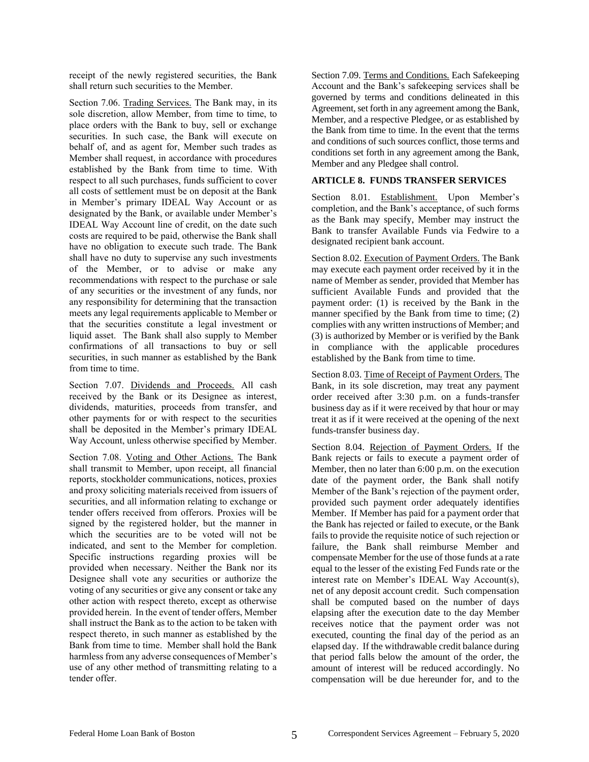receipt of the newly registered securities, the Bank shall return such securities to the Member.

Section 7.06. Trading Services. The Bank may, in its sole discretion, allow Member, from time to time, to place orders with the Bank to buy, sell or exchange securities. In such case, the Bank will execute on behalf of, and as agent for, Member such trades as Member shall request, in accordance with procedures established by the Bank from time to time. With respect to all such purchases, funds sufficient to cover all costs of settlement must be on deposit at the Bank in Member's primary IDEAL Way Account or as designated by the Bank, or available under Member's IDEAL Way Account line of credit, on the date such costs are required to be paid, otherwise the Bank shall have no obligation to execute such trade. The Bank shall have no duty to supervise any such investments of the Member, or to advise or make any recommendations with respect to the purchase or sale of any securities or the investment of any funds, nor any responsibility for determining that the transaction meets any legal requirements applicable to Member or that the securities constitute a legal investment or liquid asset. The Bank shall also supply to Member confirmations of all transactions to buy or sell securities, in such manner as established by the Bank from time to time.

Section 7.07. Dividends and Proceeds. All cash received by the Bank or its Designee as interest, dividends, maturities, proceeds from transfer, and other payments for or with respect to the securities shall be deposited in the Member's primary IDEAL Way Account, unless otherwise specified by Member.

Section 7.08. Voting and Other Actions. The Bank shall transmit to Member, upon receipt, all financial reports, stockholder communications, notices, proxies and proxy soliciting materials received from issuers of securities, and all information relating to exchange or tender offers received from offerors. Proxies will be signed by the registered holder, but the manner in which the securities are to be voted will not be indicated, and sent to the Member for completion. Specific instructions regarding proxies will be provided when necessary. Neither the Bank nor its Designee shall vote any securities or authorize the voting of any securities or give any consent or take any other action with respect thereto, except as otherwise provided herein. In the event of tender offers, Member shall instruct the Bank as to the action to be taken with respect thereto, in such manner as established by the Bank from time to time. Member shall hold the Bank harmless from any adverse consequences of Member's use of any other method of transmitting relating to a tender offer.

Section 7.09. Terms and Conditions. Each Safekeeping Account and the Bank's safekeeping services shall be governed by terms and conditions delineated in this Agreement, set forth in any agreement among the Bank, Member, and a respective Pledgee, or as established by the Bank from time to time. In the event that the terms and conditions of such sources conflict, those terms and conditions set forth in any agreement among the Bank, Member and any Pledgee shall control.

#### **ARTICLE 8. FUNDS TRANSFER SERVICES**

Section 8.01. Establishment. Upon Member's completion, and the Bank's acceptance, of such forms as the Bank may specify, Member may instruct the Bank to transfer Available Funds via Fedwire to a designated recipient bank account.

Section 8.02. Execution of Payment Orders. The Bank may execute each payment order received by it in the name of Member as sender, provided that Member has sufficient Available Funds and provided that the payment order: (1) is received by the Bank in the manner specified by the Bank from time to time; (2) complies with any written instructions of Member; and (3) is authorized by Member or is verified by the Bank in compliance with the applicable procedures established by the Bank from time to time.

Section 8.03. Time of Receipt of Payment Orders. The Bank, in its sole discretion, may treat any payment order received after 3:30 p.m. on a funds-transfer business day as if it were received by that hour or may treat it as if it were received at the opening of the next funds-transfer business day.

Section 8.04. Rejection of Payment Orders. If the Bank rejects or fails to execute a payment order of Member, then no later than 6:00 p.m. on the execution date of the payment order, the Bank shall notify Member of the Bank's rejection of the payment order, provided such payment order adequately identifies Member. If Member has paid for a payment order that the Bank has rejected or failed to execute, or the Bank fails to provide the requisite notice of such rejection or failure, the Bank shall reimburse Member and compensate Member for the use of those funds at a rate equal to the lesser of the existing Fed Funds rate or the interest rate on Member's IDEAL Way Account(s), net of any deposit account credit. Such compensation shall be computed based on the number of days elapsing after the execution date to the day Member receives notice that the payment order was not executed, counting the final day of the period as an elapsed day. If the withdrawable credit balance during that period falls below the amount of the order, the amount of interest will be reduced accordingly. No compensation will be due hereunder for, and to the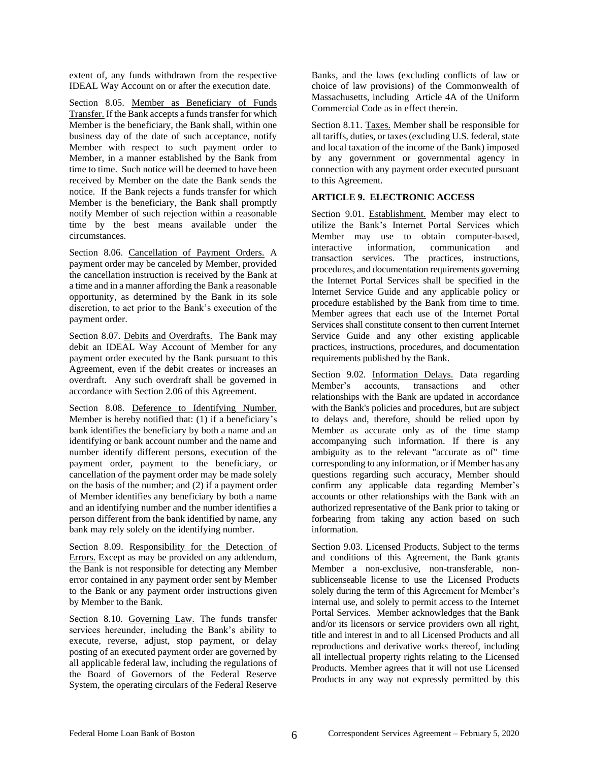extent of, any funds withdrawn from the respective IDEAL Way Account on or after the execution date.

Section 8.05. Member as Beneficiary of Funds Transfer. If the Bank accepts a funds transfer for which Member is the beneficiary, the Bank shall, within one business day of the date of such acceptance, notify Member with respect to such payment order to Member, in a manner established by the Bank from time to time. Such notice will be deemed to have been received by Member on the date the Bank sends the notice. If the Bank rejects a funds transfer for which Member is the beneficiary, the Bank shall promptly notify Member of such rejection within a reasonable time by the best means available under the circumstances.

Section 8.06. Cancellation of Payment Orders. A payment order may be canceled by Member, provided the cancellation instruction is received by the Bank at a time and in a manner affording the Bank a reasonable opportunity, as determined by the Bank in its sole discretion, to act prior to the Bank's execution of the payment order.

Section 8.07. Debits and Overdrafts. The Bank may debit an IDEAL Way Account of Member for any payment order executed by the Bank pursuant to this Agreement, even if the debit creates or increases an overdraft. Any such overdraft shall be governed in accordance with Section 2.06 of this Agreement.

Section 8.08. Deference to Identifying Number. Member is hereby notified that: (1) if a beneficiary's bank identifies the beneficiary by both a name and an identifying or bank account number and the name and number identify different persons, execution of the payment order, payment to the beneficiary, or cancellation of the payment order may be made solely on the basis of the number; and (2) if a payment order of Member identifies any beneficiary by both a name and an identifying number and the number identifies a person different from the bank identified by name, any bank may rely solely on the identifying number.

Section 8.09. Responsibility for the Detection of Errors. Except as may be provided on any addendum, the Bank is not responsible for detecting any Member error contained in any payment order sent by Member to the Bank or any payment order instructions given by Member to the Bank.

Section 8.10. Governing Law. The funds transfer services hereunder, including the Bank's ability to execute, reverse, adjust, stop payment, or delay posting of an executed payment order are governed by all applicable federal law, including the regulations of the Board of Governors of the Federal Reserve System, the operating circulars of the Federal Reserve

Banks, and the laws (excluding conflicts of law or choice of law provisions) of the Commonwealth of Massachusetts, including Article 4A of the Uniform Commercial Code as in effect therein.

Section 8.11. Taxes. Member shall be responsible for all tariffs, duties, or taxes (excluding U.S. federal, state and local taxation of the income of the Bank) imposed by any government or governmental agency in connection with any payment order executed pursuant to this Agreement.

#### **ARTICLE 9. ELECTRONIC ACCESS**

Section 9.01. Establishment. Member may elect to utilize the Bank's Internet Portal Services which Member may use to obtain computer-based, interactive information, communication and transaction services. The practices, instructions, procedures, and documentation requirements governing the Internet Portal Services shall be specified in the Internet Service Guide and any applicable policy or procedure established by the Bank from time to time. Member agrees that each use of the Internet Portal Services shall constitute consent to then current Internet Service Guide and any other existing applicable practices, instructions, procedures, and documentation requirements published by the Bank.

Section 9.02. Information Delays. Data regarding Member's accounts, transactions and other relationships with the Bank are updated in accordance with the Bank's policies and procedures, but are subject to delays and, therefore, should be relied upon by Member as accurate only as of the time stamp accompanying such information. If there is any ambiguity as to the relevant "accurate as of" time corresponding to any information, or if Member has any questions regarding such accuracy, Member should confirm any applicable data regarding Member's accounts or other relationships with the Bank with an authorized representative of the Bank prior to taking or forbearing from taking any action based on such information.

Section 9.03. Licensed Products. Subject to the terms and conditions of this Agreement, the Bank grants Member a non-exclusive, non-transferable, nonsublicenseable license to use the Licensed Products solely during the term of this Agreement for Member's internal use, and solely to permit access to the Internet Portal Services. Member acknowledges that the Bank and/or its licensors or service providers own all right, title and interest in and to all Licensed Products and all reproductions and derivative works thereof, including all intellectual property rights relating to the Licensed Products. Member agrees that it will not use Licensed Products in any way not expressly permitted by this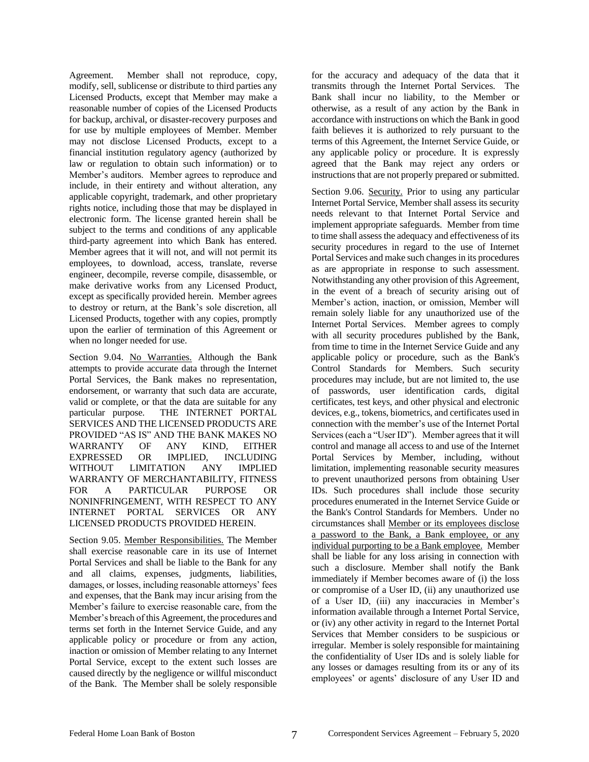Agreement. Member shall not reproduce, copy, modify, sell, sublicense or distribute to third parties any Licensed Products, except that Member may make a reasonable number of copies of the Licensed Products for backup, archival, or disaster-recovery purposes and for use by multiple employees of Member. Member may not disclose Licensed Products, except to a financial institution regulatory agency (authorized by law or regulation to obtain such information) or to Member's auditors. Member agrees to reproduce and include, in their entirety and without alteration, any applicable copyright, trademark, and other proprietary rights notice, including those that may be displayed in electronic form. The license granted herein shall be subject to the terms and conditions of any applicable third-party agreement into which Bank has entered. Member agrees that it will not, and will not permit its employees, to download, access, translate, reverse engineer, decompile, reverse compile, disassemble, or make derivative works from any Licensed Product, except as specifically provided herein. Member agrees to destroy or return, at the Bank's sole discretion, all Licensed Products, together with any copies, promptly upon the earlier of termination of this Agreement or when no longer needed for use.

Section 9.04. No Warranties. Although the Bank attempts to provide accurate data through the Internet Portal Services, the Bank makes no representation, endorsement, or warranty that such data are accurate, valid or complete, or that the data are suitable for any particular purpose. THE INTERNET PORTAL SERVICES AND THE LICENSED PRODUCTS ARE PROVIDED "AS IS" AND THE BANK MAKES NO WARRANTY OF ANY KIND, EITHER EXPRESSED OR IMPLIED, INCLUDING WITHOUT LIMITATION ANY IMPLIED WARRANTY OF MERCHANTABILITY, FITNESS FOR A PARTICULAR PURPOSE OR NONINFRINGEMENT, WITH RESPECT TO ANY INTERNET PORTAL SERVICES OR ANY LICENSED PRODUCTS PROVIDED HEREIN.

Section 9.05. Member Responsibilities. The Member shall exercise reasonable care in its use of Internet Portal Services and shall be liable to the Bank for any and all claims, expenses, judgments, liabilities, damages, or losses, including reasonable attorneys' fees and expenses, that the Bank may incur arising from the Member's failure to exercise reasonable care, from the Member's breach of this Agreement, the procedures and terms set forth in the Internet Service Guide, and any applicable policy or procedure or from any action, inaction or omission of Member relating to any Internet Portal Service, except to the extent such losses are caused directly by the negligence or willful misconduct of the Bank. The Member shall be solely responsible

for the accuracy and adequacy of the data that it transmits through the Internet Portal Services. The Bank shall incur no liability, to the Member or otherwise, as a result of any action by the Bank in accordance with instructions on which the Bank in good faith believes it is authorized to rely pursuant to the terms of this Agreement, the Internet Service Guide, or any applicable policy or procedure. It is expressly agreed that the Bank may reject any orders or instructions that are not properly prepared or submitted.

Section 9.06. Security. Prior to using any particular Internet Portal Service, Member shall assess its security needs relevant to that Internet Portal Service and implement appropriate safeguards. Member from time to time shall assess the adequacy and effectiveness of its security procedures in regard to the use of Internet Portal Services and make such changes in its procedures as are appropriate in response to such assessment. Notwithstanding any other provision of this Agreement, in the event of a breach of security arising out of Member's action, inaction, or omission, Member will remain solely liable for any unauthorized use of the Internet Portal Services. Member agrees to comply with all security procedures published by the Bank, from time to time in the Internet Service Guide and any applicable policy or procedure, such as the Bank's Control Standards for Members. Such security procedures may include, but are not limited to, the use of passwords, user identification cards, digital certificates, test keys, and other physical and electronic devices, e.g., tokens, biometrics, and certificates used in connection with the member's use of the Internet Portal Services (each a "User ID"). Member agrees that it will control and manage all access to and use of the Internet Portal Services by Member, including, without limitation, implementing reasonable security measures to prevent unauthorized persons from obtaining User IDs. Such procedures shall include those security procedures enumerated in the Internet Service Guide or the Bank's Control Standards for Members. Under no circumstances shall Member or its employees disclose a password to the Bank, a Bank employee, or any individual purporting to be a Bank employee. Member shall be liable for any loss arising in connection with such a disclosure. Member shall notify the Bank immediately if Member becomes aware of (i) the loss or compromise of a User ID, (ii) any unauthorized use of a User ID, (iii) any inaccuracies in Member's information available through a Internet Portal Service, or (iv) any other activity in regard to the Internet Portal Services that Member considers to be suspicious or irregular. Member is solely responsible for maintaining the confidentiality of User IDs and is solely liable for any losses or damages resulting from its or any of its employees' or agents' disclosure of any User ID and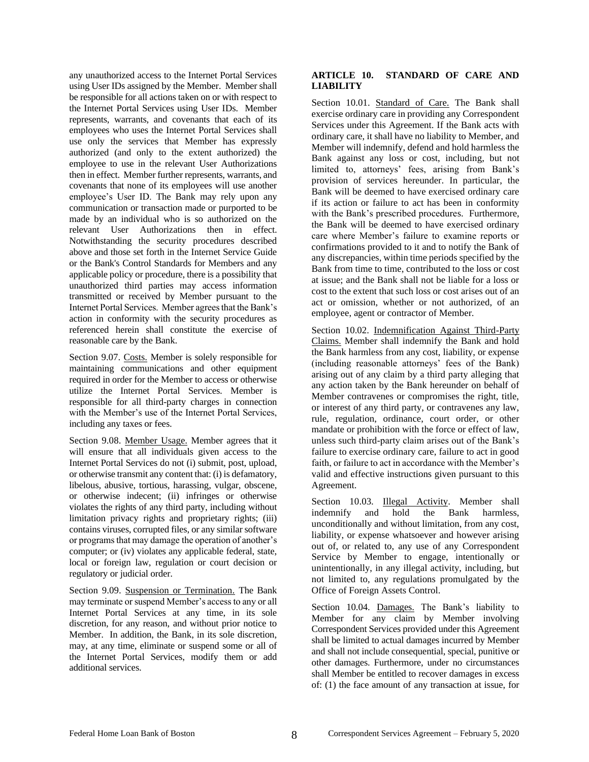any unauthorized access to the Internet Portal Services using User IDs assigned by the Member. Member shall be responsible for all actions taken on or with respect to the Internet Portal Services using User IDs. Member represents, warrants, and covenants that each of its employees who uses the Internet Portal Services shall use only the services that Member has expressly authorized (and only to the extent authorized) the employee to use in the relevant User Authorizations then in effect. Member further represents, warrants, and covenants that none of its employees will use another employee's User ID. The Bank may rely upon any communication or transaction made or purported to be made by an individual who is so authorized on the relevant User Authorizations then in effect. Notwithstanding the security procedures described above and those set forth in the Internet Service Guide or the Bank's Control Standards for Members and any applicable policy or procedure, there is a possibility that unauthorized third parties may access information transmitted or received by Member pursuant to the Internet Portal Services. Member agrees that the Bank's action in conformity with the security procedures as referenced herein shall constitute the exercise of reasonable care by the Bank.

Section 9.07. Costs. Member is solely responsible for maintaining communications and other equipment required in order for the Member to access or otherwise utilize the Internet Portal Services. Member is responsible for all third-party charges in connection with the Member's use of the Internet Portal Services, including any taxes or fees.

Section 9.08. Member Usage. Member agrees that it will ensure that all individuals given access to the Internet Portal Services do not (i) submit, post, upload, or otherwise transmit any content that: (i) is defamatory, libelous, abusive, tortious, harassing, vulgar, obscene, or otherwise indecent; (ii) infringes or otherwise violates the rights of any third party, including without limitation privacy rights and proprietary rights; (iii) contains viruses, corrupted files, or any similar software or programs that may damage the operation of another's computer; or (iv) violates any applicable federal, state, local or foreign law, regulation or court decision or regulatory or judicial order.

Section 9.09. Suspension or Termination. The Bank may terminate or suspend Member's access to any or all Internet Portal Services at any time, in its sole discretion, for any reason, and without prior notice to Member. In addition, the Bank, in its sole discretion, may, at any time, eliminate or suspend some or all of the Internet Portal Services, modify them or add additional services.

### **ARTICLE 10. STANDARD OF CARE AND LIABILITY**

Section 10.01. Standard of Care. The Bank shall exercise ordinary care in providing any Correspondent Services under this Agreement. If the Bank acts with ordinary care, it shall have no liability to Member, and Member will indemnify, defend and hold harmless the Bank against any loss or cost, including, but not limited to, attorneys' fees, arising from Bank's provision of services hereunder. In particular, the Bank will be deemed to have exercised ordinary care if its action or failure to act has been in conformity with the Bank's prescribed procedures. Furthermore, the Bank will be deemed to have exercised ordinary care where Member's failure to examine reports or confirmations provided to it and to notify the Bank of any discrepancies, within time periods specified by the Bank from time to time, contributed to the loss or cost at issue; and the Bank shall not be liable for a loss or cost to the extent that such loss or cost arises out of an act or omission, whether or not authorized, of an employee, agent or contractor of Member.

Section 10.02. Indemnification Against Third-Party Claims. Member shall indemnify the Bank and hold the Bank harmless from any cost, liability, or expense (including reasonable attorneys' fees of the Bank) arising out of any claim by a third party alleging that any action taken by the Bank hereunder on behalf of Member contravenes or compromises the right, title, or interest of any third party, or contravenes any law, rule, regulation, ordinance, court order, or other mandate or prohibition with the force or effect of law, unless such third-party claim arises out of the Bank's failure to exercise ordinary care, failure to act in good faith, or failure to act in accordance with the Member's valid and effective instructions given pursuant to this Agreement.

Section 10.03. Illegal Activity. Member shall indemnify and hold the Bank harmless, unconditionally and without limitation, from any cost, liability, or expense whatsoever and however arising out of, or related to, any use of any Correspondent Service by Member to engage, intentionally or unintentionally, in any illegal activity, including, but not limited to, any regulations promulgated by the Office of Foreign Assets Control.

Section 10.04. Damages. The Bank's liability to Member for any claim by Member involving Correspondent Services provided under this Agreement shall be limited to actual damages incurred by Member and shall not include consequential, special, punitive or other damages. Furthermore, under no circumstances shall Member be entitled to recover damages in excess of: (1) the face amount of any transaction at issue, for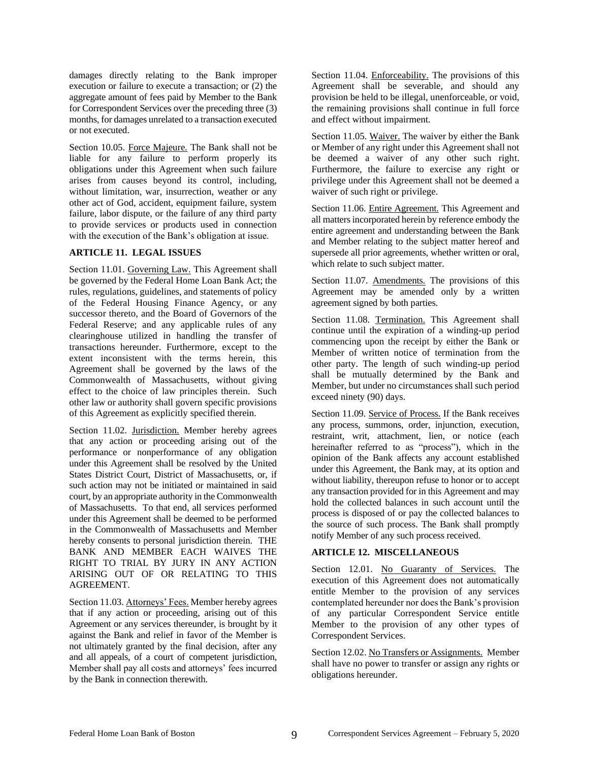damages directly relating to the Bank improper execution or failure to execute a transaction; or (2) the aggregate amount of fees paid by Member to the Bank for Correspondent Services over the preceding three (3) months, for damages unrelated to a transaction executed or not executed.

Section 10.05. Force Majeure. The Bank shall not be liable for any failure to perform properly its obligations under this Agreement when such failure arises from causes beyond its control, including, without limitation, war, insurrection, weather or any other act of God, accident, equipment failure, system failure, labor dispute, or the failure of any third party to provide services or products used in connection with the execution of the Bank's obligation at issue.

#### **ARTICLE 11. LEGAL ISSUES**

Section 11.01. Governing Law. This Agreement shall be governed by the Federal Home Loan Bank Act; the rules, regulations, guidelines, and statements of policy of the Federal Housing Finance Agency, or any successor thereto, and the Board of Governors of the Federal Reserve; and any applicable rules of any clearinghouse utilized in handling the transfer of transactions hereunder. Furthermore, except to the extent inconsistent with the terms herein, this Agreement shall be governed by the laws of the Commonwealth of Massachusetts, without giving effect to the choice of law principles therein. Such other law or authority shall govern specific provisions of this Agreement as explicitly specified therein.

Section 11.02. Jurisdiction. Member hereby agrees that any action or proceeding arising out of the performance or nonperformance of any obligation under this Agreement shall be resolved by the United States District Court, District of Massachusetts, or, if such action may not be initiated or maintained in said court, by an appropriate authority in the Commonwealth of Massachusetts. To that end, all services performed under this Agreement shall be deemed to be performed in the Commonwealth of Massachusetts and Member hereby consents to personal jurisdiction therein. THE BANK AND MEMBER EACH WAIVES THE RIGHT TO TRIAL BY JURY IN ANY ACTION ARISING OUT OF OR RELATING TO THIS AGREEMENT.

Section 11.03. Attorneys' Fees. Member hereby agrees that if any action or proceeding, arising out of this Agreement or any services thereunder, is brought by it against the Bank and relief in favor of the Member is not ultimately granted by the final decision, after any and all appeals, of a court of competent jurisdiction, Member shall pay all costs and attorneys' fees incurred by the Bank in connection therewith.

Section 11.04. Enforceability. The provisions of this Agreement shall be severable, and should any provision be held to be illegal, unenforceable, or void, the remaining provisions shall continue in full force and effect without impairment.

Section 11.05. Waiver. The waiver by either the Bank or Member of any right under this Agreement shall not be deemed a waiver of any other such right. Furthermore, the failure to exercise any right or privilege under this Agreement shall not be deemed a waiver of such right or privilege.

Section 11.06. Entire Agreement. This Agreement and all matters incorporated herein by reference embody the entire agreement and understanding between the Bank and Member relating to the subject matter hereof and supersede all prior agreements, whether written or oral, which relate to such subject matter.

Section 11.07. Amendments. The provisions of this Agreement may be amended only by a written agreement signed by both parties.

Section 11.08. Termination. This Agreement shall continue until the expiration of a winding-up period commencing upon the receipt by either the Bank or Member of written notice of termination from the other party. The length of such winding-up period shall be mutually determined by the Bank and Member, but under no circumstances shall such period exceed ninety (90) days.

Section 11.09. Service of Process. If the Bank receives any process, summons, order, injunction, execution, restraint, writ, attachment, lien, or notice (each hereinafter referred to as "process"), which in the opinion of the Bank affects any account established under this Agreement, the Bank may, at its option and without liability, thereupon refuse to honor or to accept any transaction provided for in this Agreement and may hold the collected balances in such account until the process is disposed of or pay the collected balances to the source of such process. The Bank shall promptly notify Member of any such process received.

#### **ARTICLE 12. MISCELLANEOUS**

Section 12.01. No Guaranty of Services. The execution of this Agreement does not automatically entitle Member to the provision of any services contemplated hereunder nor does the Bank's provision of any particular Correspondent Service entitle Member to the provision of any other types of Correspondent Services.

Section 12.02. No Transfers or Assignments. Member shall have no power to transfer or assign any rights or obligations hereunder.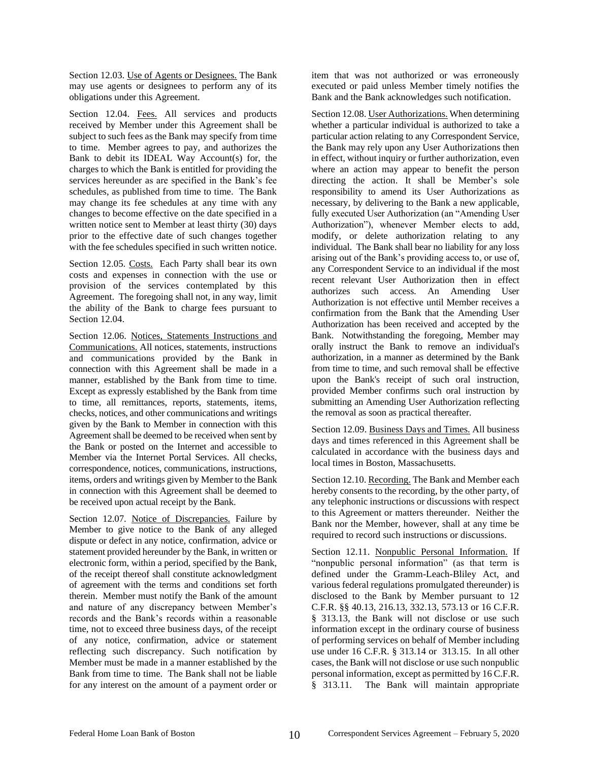Section 12.03. Use of Agents or Designees. The Bank may use agents or designees to perform any of its obligations under this Agreement.

Section 12.04. Fees. All services and products received by Member under this Agreement shall be subject to such fees as the Bank may specify from time to time. Member agrees to pay, and authorizes the Bank to debit its IDEAL Way Account(s) for, the charges to which the Bank is entitled for providing the services hereunder as are specified in the Bank's fee schedules, as published from time to time. The Bank may change its fee schedules at any time with any changes to become effective on the date specified in a written notice sent to Member at least thirty (30) days prior to the effective date of such changes together with the fee schedules specified in such written notice.

Section 12.05. Costs. Each Party shall bear its own costs and expenses in connection with the use or provision of the services contemplated by this Agreement. The foregoing shall not, in any way, limit the ability of the Bank to charge fees pursuant to Section 12.04.

Section 12.06. Notices, Statements Instructions and Communications. All notices, statements, instructions and communications provided by the Bank in connection with this Agreement shall be made in a manner, established by the Bank from time to time. Except as expressly established by the Bank from time to time, all remittances, reports, statements, items, checks, notices, and other communications and writings given by the Bank to Member in connection with this Agreement shall be deemed to be received when sent by the Bank or posted on the Internet and accessible to Member via the Internet Portal Services. All checks, correspondence, notices, communications, instructions, items, orders and writings given by Member to the Bank in connection with this Agreement shall be deemed to be received upon actual receipt by the Bank.

Section 12.07. Notice of Discrepancies. Failure by Member to give notice to the Bank of any alleged dispute or defect in any notice, confirmation, advice or statement provided hereunder by the Bank, in written or electronic form, within a period, specified by the Bank, of the receipt thereof shall constitute acknowledgment of agreement with the terms and conditions set forth therein. Member must notify the Bank of the amount and nature of any discrepancy between Member's records and the Bank's records within a reasonable time, not to exceed three business days, of the receipt of any notice, confirmation, advice or statement reflecting such discrepancy. Such notification by Member must be made in a manner established by the Bank from time to time. The Bank shall not be liable for any interest on the amount of a payment order or

item that was not authorized or was erroneously executed or paid unless Member timely notifies the Bank and the Bank acknowledges such notification.

Section 12.08. User Authorizations. When determining whether a particular individual is authorized to take a particular action relating to any Correspondent Service, the Bank may rely upon any User Authorizations then in effect, without inquiry or further authorization, even where an action may appear to benefit the person directing the action. It shall be Member's sole responsibility to amend its User Authorizations as necessary, by delivering to the Bank a new applicable, fully executed User Authorization (an "Amending User Authorization"), whenever Member elects to add, modify, or delete authorization relating to any individual. The Bank shall bear no liability for any loss arising out of the Bank's providing access to, or use of, any Correspondent Service to an individual if the most recent relevant User Authorization then in effect authorizes such access. An Amending User Authorization is not effective until Member receives a confirmation from the Bank that the Amending User Authorization has been received and accepted by the Bank. Notwithstanding the foregoing, Member may orally instruct the Bank to remove an individual's authorization, in a manner as determined by the Bank from time to time, and such removal shall be effective upon the Bank's receipt of such oral instruction, provided Member confirms such oral instruction by submitting an Amending User Authorization reflecting the removal as soon as practical thereafter.

Section 12.09. Business Days and Times. All business days and times referenced in this Agreement shall be calculated in accordance with the business days and local times in Boston, Massachusetts.

Section 12.10. Recording. The Bank and Member each hereby consents to the recording, by the other party, of any telephonic instructions or discussions with respect to this Agreement or matters thereunder. Neither the Bank nor the Member, however, shall at any time be required to record such instructions or discussions.

Section 12.11. Nonpublic Personal Information. If "nonpublic personal information" (as that term is defined under the Gramm-Leach-Bliley Act, and various federal regulations promulgated thereunder) is disclosed to the Bank by Member pursuant to 12 C.F.R. §§ 40.13, 216.13, 332.13, 573.13 or 16 C.F.R. § 313.13, the Bank will not disclose or use such information except in the ordinary course of business of performing services on behalf of Member including use under 16 C.F.R. § 313.14 or 313.15. In all other cases, the Bank will not disclose or use such nonpublic personal information, except as permitted by 16 C.F.R. § 313.11. The Bank will maintain appropriate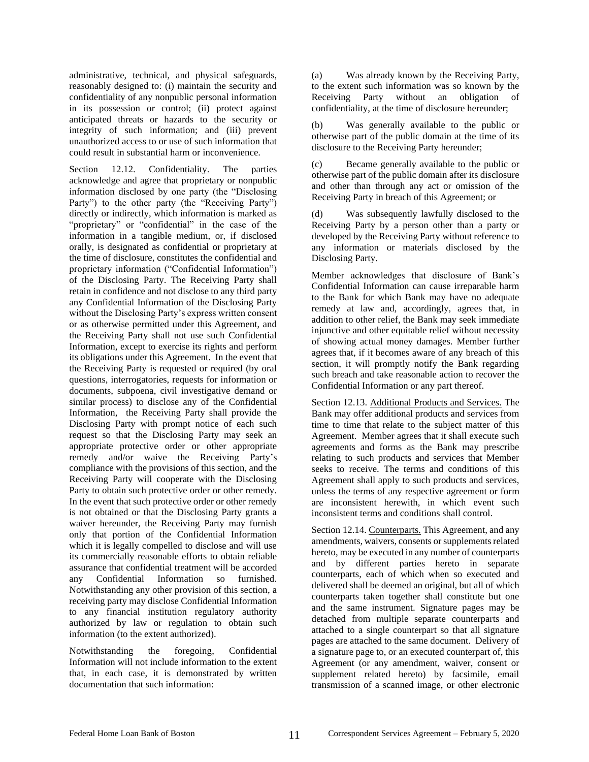administrative, technical, and physical safeguards, reasonably designed to: (i) maintain the security and confidentiality of any nonpublic personal information in its possession or control; (ii) protect against anticipated threats or hazards to the security or integrity of such information; and (iii) prevent unauthorized access to or use of such information that could result in substantial harm or inconvenience.

Section 12.12. Confidentiality. The parties acknowledge and agree that proprietary or nonpublic information disclosed by one party (the "Disclosing Party") to the other party (the "Receiving Party") directly or indirectly, which information is marked as "proprietary" or "confidential" in the case of the information in a tangible medium, or, if disclosed orally, is designated as confidential or proprietary at the time of disclosure, constitutes the confidential and proprietary information ("Confidential Information") of the Disclosing Party. The Receiving Party shall retain in confidence and not disclose to any third party any Confidential Information of the Disclosing Party without the Disclosing Party's express written consent or as otherwise permitted under this Agreement, and the Receiving Party shall not use such Confidential Information, except to exercise its rights and perform its obligations under this Agreement. In the event that the Receiving Party is requested or required (by oral questions, interrogatories, requests for information or documents, subpoena, civil investigative demand or similar process) to disclose any of the Confidential Information, the Receiving Party shall provide the Disclosing Party with prompt notice of each such request so that the Disclosing Party may seek an appropriate protective order or other appropriate remedy and/or waive the Receiving Party's compliance with the provisions of this section, and the Receiving Party will cooperate with the Disclosing Party to obtain such protective order or other remedy. In the event that such protective order or other remedy is not obtained or that the Disclosing Party grants a waiver hereunder, the Receiving Party may furnish only that portion of the Confidential Information which it is legally compelled to disclose and will use its commercially reasonable efforts to obtain reliable assurance that confidential treatment will be accorded any Confidential Information so furnished. Notwithstanding any other provision of this section, a receiving party may disclose Confidential Information to any financial institution regulatory authority authorized by law or regulation to obtain such information (to the extent authorized).

Notwithstanding the foregoing, Confidential Information will not include information to the extent that, in each case, it is demonstrated by written documentation that such information:

(a) Was already known by the Receiving Party, to the extent such information was so known by the Receiving Party without an obligation of confidentiality, at the time of disclosure hereunder;

(b) Was generally available to the public or otherwise part of the public domain at the time of its disclosure to the Receiving Party hereunder;

(c) Became generally available to the public or otherwise part of the public domain after its disclosure and other than through any act or omission of the Receiving Party in breach of this Agreement; or

(d) Was subsequently lawfully disclosed to the Receiving Party by a person other than a party or developed by the Receiving Party without reference to any information or materials disclosed by the Disclosing Party.

Member acknowledges that disclosure of Bank's Confidential Information can cause irreparable harm to the Bank for which Bank may have no adequate remedy at law and, accordingly, agrees that, in addition to other relief, the Bank may seek immediate injunctive and other equitable relief without necessity of showing actual money damages. Member further agrees that, if it becomes aware of any breach of this section, it will promptly notify the Bank regarding such breach and take reasonable action to recover the Confidential Information or any part thereof.

Section 12.13. Additional Products and Services. The Bank may offer additional products and services from time to time that relate to the subject matter of this Agreement. Member agrees that it shall execute such agreements and forms as the Bank may prescribe relating to such products and services that Member seeks to receive. The terms and conditions of this Agreement shall apply to such products and services, unless the terms of any respective agreement or form are inconsistent herewith, in which event such inconsistent terms and conditions shall control.

Section 12.14. Counterparts. This Agreement, and any amendments, waivers, consents or supplements related hereto, may be executed in any number of counterparts and by different parties hereto in separate counterparts, each of which when so executed and delivered shall be deemed an original, but all of which counterparts taken together shall constitute but one and the same instrument. Signature pages may be detached from multiple separate counterparts and attached to a single counterpart so that all signature pages are attached to the same document. Delivery of a signature page to, or an executed counterpart of, this Agreement (or any amendment, waiver, consent or supplement related hereto) by facsimile, email transmission of a scanned image, or other electronic